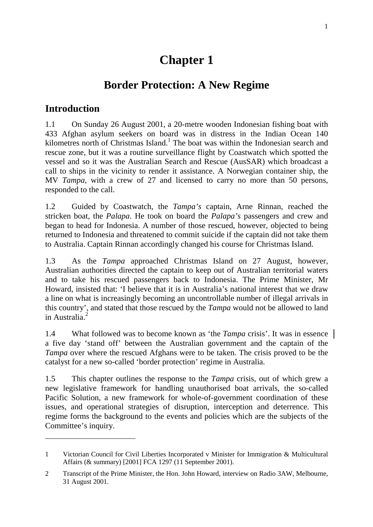# **Chapter 1**

## **Border Protection: A New Regime**

### **Introduction**

 $\overline{a}$ 

1.1 On Sunday 26 August 2001, a 20-metre wooden Indonesian fishing boat with 433 Afghan asylum seekers on board was in distress in the Indian Ocean 140 kilometres north of Christmas Island.<sup>1</sup> The boat was within the Indonesian search and rescue zone, but it was a routine surveillance flight by Coastwatch which spotted the vessel and so it was the Australian Search and Rescue (AusSAR) which broadcast a call to ships in the vicinity to render it assistance. A Norwegian container ship, the MV *Tampa*, with a crew of 27 and licensed to carry no more than 50 persons, responded to the call.

1.2 Guided by Coastwatch, the *Tampa's* captain, Arne Rinnan, reached the stricken boat, the *Palapa*. He took on board the *Palapa's* passengers and crew and began to head for Indonesia. A number of those rescued, however, objected to being returned to Indonesia and threatened to commit suicide if the captain did not take them to Australia. Captain Rinnan accordingly changed his course for Christmas Island.

1.3 As the *Tampa* approached Christmas Island on 27 August, however, Australian authorities directed the captain to keep out of Australian territorial waters and to take his rescued passengers back to Indonesia. The Prime Minister, Mr Howard, insisted that: 'I believe that it is in Australia's national interest that we draw a line on what is increasingly becoming an uncontrollable number of illegal arrivals in this country', and stated that those rescued by the *Tampa* would not be allowed to land in Australia.

1.4 What followed was to become known as 'the *Tampa* crisis'. It was in essence a five day 'stand off' between the Australian government and the captain of the *Tampa* over where the rescued Afghans were to be taken. The crisis proved to be the catalyst for a new so-called 'border protection' regime in Australia.

1.5 This chapter outlines the response to the *Tampa* crisis, out of which grew a new legislative framework for handling unauthorised boat arrivals, the so-called Pacific Solution, a new framework for whole-of-government coordination of these issues, and operational strategies of disruption, interception and deterrence. This regime forms the background to the events and policies which are the subjects of the Committee's inquiry.

<sup>1</sup> Victorian Council for Civil Liberties Incorporated v Minister for Immigration & Multicultural Affairs (& summary) [2001] FCA 1297 (11 September 2001).

<sup>2</sup> Transcript of the Prime Minister, the Hon. John Howard, interview on Radio 3AW, Melbourne, 31 August 2001.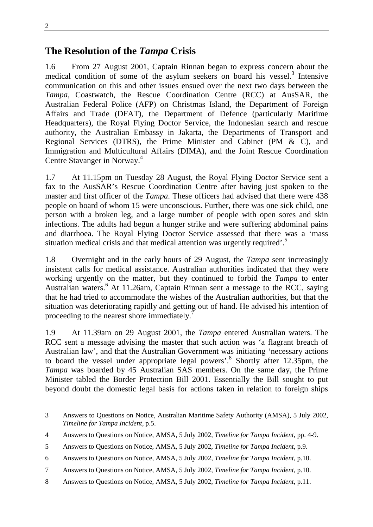$\overline{a}$ 

#### **The Resolution of the** *Tampa* **Crisis**

1.6 From 27 August 2001, Captain Rinnan began to express concern about the medical condition of some of the asylum seekers on board his vessel.<sup>3</sup> Intensive communication on this and other issues ensued over the next two days between the *Tampa*, Coastwatch, the Rescue Coordination Centre (RCC) at AusSAR, the Australian Federal Police (AFP) on Christmas Island, the Department of Foreign Affairs and Trade (DFAT), the Department of Defence (particularly Maritime Headquarters), the Royal Flying Doctor Service, the Indonesian search and rescue authority, the Australian Embassy in Jakarta, the Departments of Transport and Regional Services (DTRS), the Prime Minister and Cabinet (PM & C), and Immigration and Multicultural Affairs (DIMA), and the Joint Rescue Coordination Centre Stavanger in Norway.<sup>4</sup>

1.7 At 11.15pm on Tuesday 28 August, the Royal Flying Doctor Service sent a fax to the AusSAR's Rescue Coordination Centre after having just spoken to the master and first officer of the *Tampa*. These officers had advised that there were 438 people on board of whom 15 were unconscious. Further, there was one sick child, one person with a broken leg, and a large number of people with open sores and skin infections. The adults had begun a hunger strike and were suffering abdominal pains and diarrhoea. The Royal Flying Doctor Service assessed that there was a 'mass situation medical crisis and that medical attention was urgently required'.<sup>5</sup>

1.8 Overnight and in the early hours of 29 August, the *Tampa* sent increasingly insistent calls for medical assistance. Australian authorities indicated that they were working urgently on the matter, but they continued to forbid the *Tampa* to enter Australian waters.<sup>6</sup> At 11.26am, Captain Rinnan sent a message to the RCC, saying that he had tried to accommodate the wishes of the Australian authorities, but that the situation was deteriorating rapidly and getting out of hand. He advised his intention of proceeding to the nearest shore immediately.<sup>7</sup>

1.9 At 11.39am on 29 August 2001, the *Tampa* entered Australian waters. The RCC sent a message advising the master that such action was 'a flagrant breach of Australian law', and that the Australian Government was initiating 'necessary actions to board the vessel under appropriate legal powers'.<sup>8</sup> Shortly after 12.35pm, the *Tampa* was boarded by 45 Australian SAS members. On the same day, the Prime Minister tabled the Border Protection Bill 2001. Essentially the Bill sought to put beyond doubt the domestic legal basis for actions taken in relation to foreign ships

8 Answers to Questions on Notice, AMSA, 5 July 2002, *Timeline for Tampa Incident*, p.11.

<sup>3</sup> Answers to Questions on Notice, Australian Maritime Safety Authority (AMSA), 5 July 2002, *Timeline for Tampa Incident*, p.5.

<sup>4</sup> Answers to Questions on Notice, AMSA, 5 July 2002, *Timeline for Tampa Incident*, pp. 4-9.

<sup>5</sup> Answers to Questions on Notice, AMSA, 5 July 2002, *Timeline for Tampa Incident*, p.9.

<sup>6</sup> Answers to Questions on Notice, AMSA, 5 July 2002, *Timeline for Tampa Incident*, p.10.

<sup>7</sup> Answers to Questions on Notice, AMSA, 5 July 2002, *Timeline for Tampa Incident*, p.10.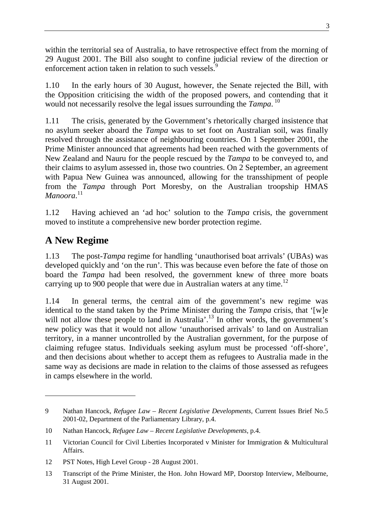within the territorial sea of Australia, to have retrospective effect from the morning of 29 August 2001. The Bill also sought to confine judicial review of the direction or enforcement action taken in relation to such vessels.<sup>9</sup>

1.10 In the early hours of 30 August, however, the Senate rejected the Bill, with the Opposition criticising the width of the proposed powers, and contending that it would not necessarily resolve the legal issues surrounding the *Tampa*.<sup>10</sup>

1.11 The crisis, generated by the Government's rhetorically charged insistence that no asylum seeker aboard the *Tampa* was to set foot on Australian soil, was finally resolved through the assistance of neighbouring countries. On 1 September 2001, the Prime Minister announced that agreements had been reached with the governments of New Zealand and Nauru for the people rescued by the *Tampa* to be conveyed to, and their claims to asylum assessed in, those two countries. On 2 September, an agreement with Papua New Guinea was announced, allowing for the transshipment of people from the *Tampa* through Port Moresby, on the Australian troopship HMAS *Manoora*. 11

1.12 Having achieved an 'ad hoc' solution to the *Tampa* crisis, the government moved to institute a comprehensive new border protection regime.

## **A New Regime**

 $\overline{a}$ 

1.13 The post-*Tampa* regime for handling 'unauthorised boat arrivals' (UBAs) was developed quickly and 'on the run'. This was because even before the fate of those on board the *Tampa* had been resolved, the government knew of three more boats carrying up to 900 people that were due in Australian waters at any time.<sup>12</sup>

1.14 In general terms, the central aim of the government's new regime was identical to the stand taken by the Prime Minister during the *Tampa* crisis, that '[w]e will not allow these people to land in Australia'.<sup>13</sup> In other words, the government's new policy was that it would not allow 'unauthorised arrivals' to land on Australian territory, in a manner uncontrolled by the Australian government, for the purpose of claiming refugee status. Individuals seeking asylum must be processed 'off-shore', and then decisions about whether to accept them as refugees to Australia made in the same way as decisions are made in relation to the claims of those assessed as refugees in camps elsewhere in the world.

<sup>9</sup> Nathan Hancock, *Refugee Law – Recent Legislative Developments,* Current Issues Brief No.5 2001-02, Department of the Parliamentary Library, p.4.

<sup>10</sup> Nathan Hancock, *Refugee Law – Recent Legislative Developments,* p.4.

<sup>11</sup> Victorian Council for Civil Liberties Incorporated v Minister for Immigration & Multicultural Affairs.

<sup>12</sup> PST Notes, High Level Group - 28 August 2001.

<sup>13</sup> Transcript of the Prime Minister, the Hon. John Howard MP, Doorstop Interview, Melbourne, 31 August 2001.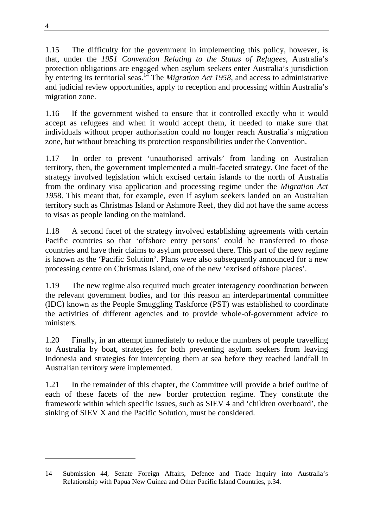1.15 The difficulty for the government in implementing this policy, however, is that, under the *1951 Convention Relating to the Status of Refugees*, Australia's protection obligations are engaged when asylum seekers enter Australia's jurisdiction by entering its territorial seas.14 The *Migration Act 1958*, and access to administrative and judicial review opportunities, apply to reception and processing within Australia's migration zone.

1.16 If the government wished to ensure that it controlled exactly who it would accept as refugees and when it would accept them, it needed to make sure that individuals without proper authorisation could no longer reach Australia's migration zone, but without breaching its protection responsibilities under the Convention.

1.17 In order to prevent 'unauthorised arrivals' from landing on Australian territory, then, the government implemented a multi-faceted strategy. One facet of the strategy involved legislation which excised certain islands to the north of Australia from the ordinary visa application and processing regime under the *Migration Act 195*8. This meant that, for example, even if asylum seekers landed on an Australian territory such as Christmas Island or Ashmore Reef, they did not have the same access to visas as people landing on the mainland.

1.18 A second facet of the strategy involved establishing agreements with certain Pacific countries so that 'offshore entry persons' could be transferred to those countries and have their claims to asylum processed there. This part of the new regime is known as the 'Pacific Solution'. Plans were also subsequently announced for a new processing centre on Christmas Island, one of the new 'excised offshore places'.

1.19 The new regime also required much greater interagency coordination between the relevant government bodies, and for this reason an interdepartmental committee (IDC) known as the People Smuggling Taskforce (PST) was established to coordinate the activities of different agencies and to provide whole-of-government advice to ministers.

1.20 Finally, in an attempt immediately to reduce the numbers of people travelling to Australia by boat, strategies for both preventing asylum seekers from leaving Indonesia and strategies for intercepting them at sea before they reached landfall in Australian territory were implemented.

1.21 In the remainder of this chapter, the Committee will provide a brief outline of each of these facets of the new border protection regime. They constitute the framework within which specific issues, such as SIEV 4 and 'children overboard', the sinking of SIEV X and the Pacific Solution, must be considered.

<sup>14</sup> Submission 44, Senate Foreign Affairs, Defence and Trade Inquiry into Australia's Relationship with Papua New Guinea and Other Pacific Island Countries, p.34.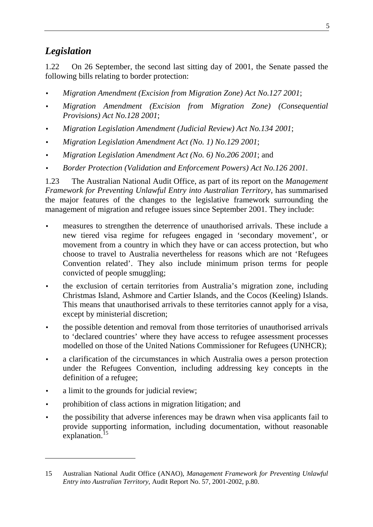### *Legislation*

1.22 On 26 September, the second last sitting day of 2001, the Senate passed the following bills relating to border protection:

- *Migration Amendment (Excision from Migration Zone) Act No.127 2001*;
- *Migration Amendment (Excision from Migration Zone) (Consequential Provisions) Act No.128 2001*;
- *Migration Legislation Amendment (Judicial Review) Act No.134 2001*;
- *Migration Legislation Amendment Act (No. 1) No.129 2001*;
- *Migration Legislation Amendment Act (No. 6) No.206 2001*; and
- *Border Protection (Validation and Enforcement Powers) Act No.126 2001*.

1.23 The Australian National Audit Office, as part of its report on the *Management Framework for Preventing Unlawful Entry into Australian Territory*, has summarised the major features of the changes to the legislative framework surrounding the management of migration and refugee issues since September 2001. They include:

- measures to strengthen the deterrence of unauthorised arrivals. These include a new tiered visa regime for refugees engaged in 'secondary movement', or movement from a country in which they have or can access protection, but who choose to travel to Australia nevertheless for reasons which are not 'Refugees Convention related'. They also include minimum prison terms for people convicted of people smuggling;
- the exclusion of certain territories from Australia's migration zone, including Christmas Island, Ashmore and Cartier Islands, and the Cocos (Keeling) Islands. This means that unauthorised arrivals to these territories cannot apply for a visa, except by ministerial discretion;
- the possible detention and removal from those territories of unauthorised arrivals to 'declared countries' where they have access to refugee assessment processes modelled on those of the United Nations Commissioner for Refugees (UNHCR);
- a clarification of the circumstances in which Australia owes a person protection under the Refugees Convention, including addressing key concepts in the definition of a refugee;
- a limit to the grounds for judicial review;

- prohibition of class actions in migration litigation; and
- the possibility that adverse inferences may be drawn when visa applicants fail to provide supporting information, including documentation, without reasonable explanation.<sup>15</sup>

<sup>15</sup> Australian National Audit Office (ANAO), *Management Framework for Preventing Unlawful Entry into Australian Territory*, Audit Report No. 57, 2001-2002, p.80.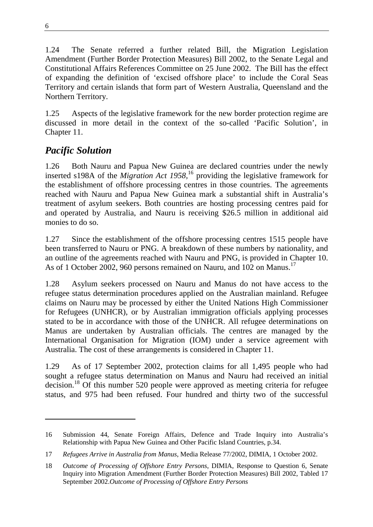1.24 The Senate referred a further related Bill, the Migration Legislation Amendment (Further Border Protection Measures) Bill 2002, to the Senate Legal and Constitutional Affairs References Committee on 25 June 2002. The Bill has the effect of expanding the definition of 'excised offshore place' to include the Coral Seas Territory and certain islands that form part of Western Australia, Queensland and the Northern Territory.

1.25 Aspects of the legislative framework for the new border protection regime are discussed in more detail in the context of the so-called 'Pacific Solution', in Chapter 11.

### *Pacific Solution*

1.26 Both Nauru and Papua New Guinea are declared countries under the newly inserted s198A of the *Migration Act 1958,*16 providing the legislative framework for the establishment of offshore processing centres in those countries. The agreements reached with Nauru and Papua New Guinea mark a substantial shift in Australia's treatment of asylum seekers. Both countries are hosting processing centres paid for and operated by Australia, and Nauru is receiving \$26.5 million in additional aid monies to do so.

1.27 Since the establishment of the offshore processing centres 1515 people have been transferred to Nauru or PNG. A breakdown of these numbers by nationality, and an outline of the agreements reached with Nauru and PNG, is provided in Chapter 10. As of 1 October 2002, 960 persons remained on Nauru, and 102 on Manus.<sup>17</sup>

1.28 Asylum seekers processed on Nauru and Manus do not have access to the refugee status determination procedures applied on the Australian mainland. Refugee claims on Nauru may be processed by either the United Nations High Commissioner for Refugees (UNHCR), or by Australian immigration officials applying processes stated to be in accordance with those of the UNHCR. All refugee determinations on Manus are undertaken by Australian officials. The centres are managed by the International Organisation for Migration (IOM) under a service agreement with Australia. The cost of these arrangements is considered in Chapter 11.

1.29 As of 17 September 2002, protection claims for all 1,495 people who had sought a refugee status determination on Manus and Nauru had received an initial decision.18 Of this number 520 people were approved as meeting criteria for refugee status, and 975 had been refused. Four hundred and thirty two of the successful

<sup>16</sup> Submission 44, Senate Foreign Affairs, Defence and Trade Inquiry into Australia's Relationship with Papua New Guinea and Other Pacific Island Countries, p.34.

<sup>17</sup> *Refugees Arrive in Australia from Manus*, Media Release 77/2002, DIMIA, 1 October 2002.

<sup>18</sup> *Outcome of Processing of Offshore Entry Persons*, DIMIA, Response to Question 6, Senate Inquiry into Migration Amendment (Further Border Protection Measures) Bill 2002, Tabled 17 September 2002.*Outcome of Processing of Offshore Entry Persons*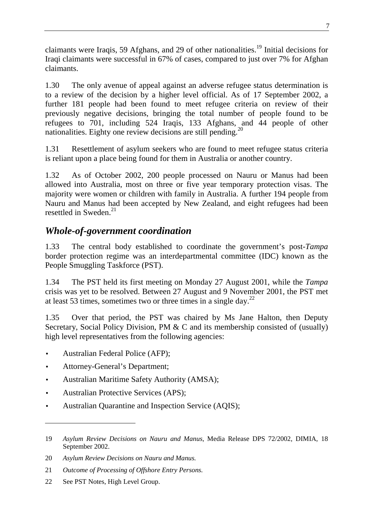claimants were Iraqis, 59 Afghans, and 29 of other nationalities.<sup>19</sup> Initial decisions for Iraqi claimants were successful in 67% of cases, compared to just over 7% for Afghan claimants.

1.30 The only avenue of appeal against an adverse refugee status determination is to a review of the decision by a higher level official. As of 17 September 2002, a further 181 people had been found to meet refugee criteria on review of their previously negative decisions, bringing the total number of people found to be refugees to 701, including 524 Iraqis, 133 Afghans, and 44 people of other nationalities. Eighty one review decisions are still pending.<sup>20</sup>

1.31 Resettlement of asylum seekers who are found to meet refugee status criteria is reliant upon a place being found for them in Australia or another country.

1.32 As of October 2002, 200 people processed on Nauru or Manus had been allowed into Australia, most on three or five year temporary protection visas. The majority were women or children with family in Australia. A further 194 people from Nauru and Manus had been accepted by New Zealand, and eight refugees had been resettled in Sweden. $^{21}$ 

### *Whole-of-government coordination*

1.33 The central body established to coordinate the government's post-*Tampa* border protection regime was an interdepartmental committee (IDC) known as the People Smuggling Taskforce (PST).

1.34 The PST held its first meeting on Monday 27 August 2001, while the *Tampa* crisis was yet to be resolved. Between 27 August and 9 November 2001, the PST met at least 53 times, sometimes two or three times in a single day.<sup>22</sup>

1.35 Over that period, the PST was chaired by Ms Jane Halton, then Deputy Secretary, Social Policy Division, PM & C and its membership consisted of (usually) high level representatives from the following agencies:

- Australian Federal Police (AFP);
- Attorney-General's Department;
- Australian Maritime Safety Authority (AMSA);
- Australian Protective Services (APS);
- Australian Quarantine and Inspection Service (AQIS);

 $\overline{a}$ 

<sup>19</sup> *Asylum Review Decisions on Nauru and Manus*, Media Release DPS 72/2002, DIMIA, 18 September 2002.

<sup>20</sup> *Asylum Review Decisions on Nauru and Manus.*

<sup>21</sup> *Outcome of Processing of Offshore Entry Persons.*

<sup>22</sup> See PST Notes, High Level Group.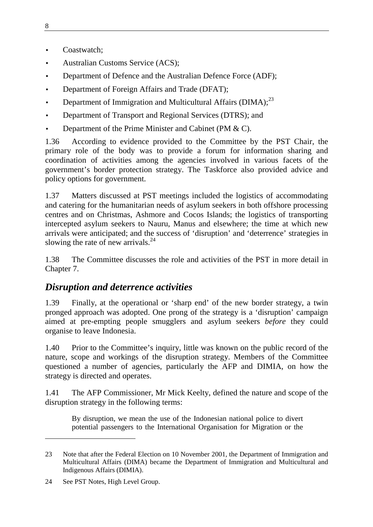- Coastwatch;
- Australian Customs Service (ACS);
- Department of Defence and the Australian Defence Force (ADF);
- Department of Foreign Affairs and Trade (DFAT);
- Department of Immigration and Multicultural Affairs  $(DIMA)$ ;  $^{23}$
- Department of Transport and Regional Services (DTRS); and
- Department of the Prime Minister and Cabinet (PM & C).

1.36 According to evidence provided to the Committee by the PST Chair, the primary role of the body was to provide a forum for information sharing and coordination of activities among the agencies involved in various facets of the government's border protection strategy. The Taskforce also provided advice and policy options for government.

1.37 Matters discussed at PST meetings included the logistics of accommodating and catering for the humanitarian needs of asylum seekers in both offshore processing centres and on Christmas, Ashmore and Cocos Islands; the logistics of transporting intercepted asylum seekers to Nauru, Manus and elsewhere; the time at which new arrivals were anticipated; and the success of 'disruption' and 'deterrence' strategies in slowing the rate of new arrivals. $^{24}$ 

1.38 The Committee discusses the role and activities of the PST in more detail in Chapter 7.

#### *Disruption and deterrence activities*

1.39 Finally, at the operational or 'sharp end' of the new border strategy, a twin pronged approach was adopted. One prong of the strategy is a 'disruption' campaign aimed at pre-empting people smugglers and asylum seekers *before* they could organise to leave Indonesia.

1.40 Prior to the Committee's inquiry, little was known on the public record of the nature, scope and workings of the disruption strategy. Members of the Committee questioned a number of agencies, particularly the AFP and DIMIA, on how the strategy is directed and operates.

1.41 The AFP Commissioner, Mr Mick Keelty, defined the nature and scope of the disruption strategy in the following terms:

By disruption, we mean the use of the Indonesian national police to divert potential passengers to the International Organisation for Migration or the

 $\overline{a}$ 

<sup>23</sup> Note that after the Federal Election on 10 November 2001, the Department of Immigration and Multicultural Affairs (DIMA) became the Department of Immigration and Multicultural and Indigenous Affairs (DIMIA).

<sup>24</sup> See PST Notes, High Level Group.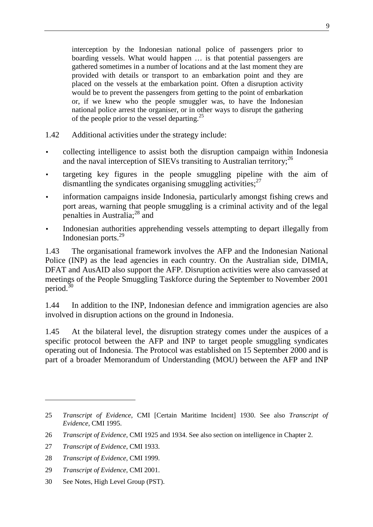interception by the Indonesian national police of passengers prior to boarding vessels. What would happen … is that potential passengers are gathered sometimes in a number of locations and at the last moment they are provided with details or transport to an embarkation point and they are placed on the vessels at the embarkation point. Often a disruption activity would be to prevent the passengers from getting to the point of embarkation or, if we knew who the people smuggler was, to have the Indonesian national police arrest the organiser, or in other ways to disrupt the gathering of the people prior to the vessel departing.<sup>25</sup>

- 1.42 Additional activities under the strategy include:
- collecting intelligence to assist both the disruption campaign within Indonesia and the naval interception of SIEVs transiting to Australian territory:<sup>26</sup>
- targeting key figures in the people smuggling pipeline with the aim of dismantling the syndicates organising smuggling activities; $^{27}$
- information campaigns inside Indonesia, particularly amongst fishing crews and port areas, warning that people smuggling is a criminal activity and of the legal penalties in Australia; $^{28}$  and
- Indonesian authorities apprehending vessels attempting to depart illegally from Indonesian ports.<sup>29</sup>

1.43 The organisational framework involves the AFP and the Indonesian National Police (INP) as the lead agencies in each country. On the Australian side, DIMIA, DFAT and AusAID also support the AFP. Disruption activities were also canvassed at meetings of the People Smuggling Taskforce during the September to November 2001 period.<sup>30</sup>

1.44 In addition to the INP, Indonesian defence and immigration agencies are also involved in disruption actions on the ground in Indonesia.

1.45 At the bilateral level, the disruption strategy comes under the auspices of a specific protocol between the AFP and INP to target people smuggling syndicates operating out of Indonesia. The Protocol was established on 15 September 2000 and is part of a broader Memorandum of Understanding (MOU) between the AFP and INP

 $\overline{a}$ 

30 See Notes, High Level Group (PST).

<sup>25</sup> *Transcript of Evidence*, CMI [Certain Maritime Incident] 1930. See also *Transcript of Evidence*, CMI 1995.

<sup>26</sup> *Transcript of Evidence*, CMI 1925 and 1934. See also section on intelligence in Chapter 2.

<sup>27</sup> *Transcript of Evidence*, CMI 1933.

<sup>28</sup> *Transcript of Evidence*, CMI 1999.

<sup>29</sup> *Transcript of Evidence*, CMI 2001.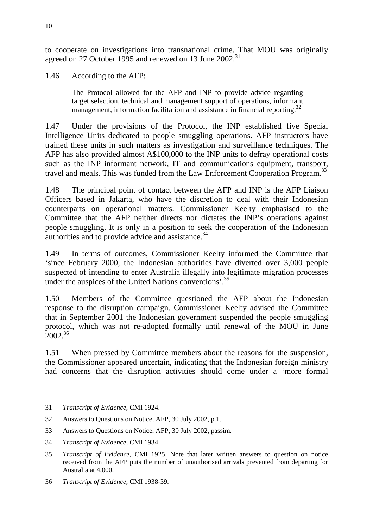to cooperate on investigations into transnational crime. That MOU was originally agreed on 27 October 1995 and renewed on 13 June  $2002$ <sup>31</sup>

1.46 According to the AFP:

The Protocol allowed for the AFP and INP to provide advice regarding target selection, technical and management support of operations, informant management, information facilitation and assistance in financial reporting.<sup>32</sup>

1.47 Under the provisions of the Protocol, the INP established five Special Intelligence Units dedicated to people smuggling operations. AFP instructors have trained these units in such matters as investigation and surveillance techniques. The AFP has also provided almost A\$100,000 to the INP units to defray operational costs such as the INP informant network, IT and communications equipment, transport, travel and meals. This was funded from the Law Enforcement Cooperation Program.<sup>33</sup>

1.48 The principal point of contact between the AFP and INP is the AFP Liaison Officers based in Jakarta, who have the discretion to deal with their Indonesian counterparts on operational matters. Commissioner Keelty emphasised to the Committee that the AFP neither directs nor dictates the INP's operations against people smuggling. It is only in a position to seek the cooperation of the Indonesian authorities and to provide advice and assistance.<sup>34</sup>

1.49 In terms of outcomes, Commissioner Keelty informed the Committee that 'since February 2000, the Indonesian authorities have diverted over 3,000 people suspected of intending to enter Australia illegally into legitimate migration processes under the auspices of the United Nations conventions'.<sup>35</sup>

1.50 Members of the Committee questioned the AFP about the Indonesian response to the disruption campaign. Commissioner Keelty advised the Committee that in September 2001 the Indonesian government suspended the people smuggling protocol, which was not re-adopted formally until renewal of the MOU in June  $2002^{36}$ 

1.51 When pressed by Committee members about the reasons for the suspension, the Commissioner appeared uncertain, indicating that the Indonesian foreign ministry had concerns that the disruption activities should come under a 'more formal

 $\overline{a}$ 

<sup>31</sup> *Transcript of Evidence*, CMI 1924.

<sup>32</sup> Answers to Questions on Notice, AFP, 30 July 2002, p.1.

<sup>33</sup> Answers to Questions on Notice, AFP, 30 July 2002, passim.

<sup>34</sup> *Transcript of Evidence*, CMI 1934

<sup>35</sup> *Transcript of Evidence*, CMI 1925. Note that later written answers to question on notice received from the AFP puts the number of unauthorised arrivals prevented from departing for Australia at 4,000.

<sup>36</sup> *Transcript of Evidence*, CMI 1938-39.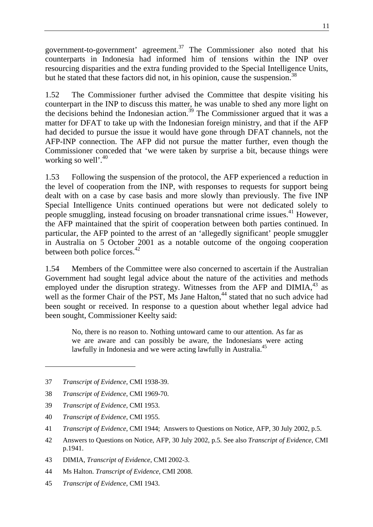government-to-government' agreement.37 The Commissioner also noted that his counterparts in Indonesia had informed him of tensions within the INP over resourcing disparities and the extra funding provided to the Special Intelligence Units, but he stated that these factors did not, in his opinion, cause the suspension.<sup>38</sup>

1.52 The Commissioner further advised the Committee that despite visiting his counterpart in the INP to discuss this matter, he was unable to shed any more light on the decisions behind the Indonesian action.<sup>39</sup> The Commissioner argued that it was a matter for DFAT to take up with the Indonesian foreign ministry, and that if the AFP had decided to pursue the issue it would have gone through DFAT channels, not the AFP-INP connection. The AFP did not pursue the matter further, even though the Commissioner conceded that 'we were taken by surprise a bit, because things were working so well'.<sup>40</sup>

1.53 Following the suspension of the protocol, the AFP experienced a reduction in the level of cooperation from the INP, with responses to requests for support being dealt with on a case by case basis and more slowly than previously. The five INP Special Intelligence Units continued operations but were not dedicated solely to people smuggling, instead focusing on broader transnational crime issues.<sup>41</sup> However, the AFP maintained that the spirit of cooperation between both parties continued. In particular, the AFP pointed to the arrest of an 'allegedly significant' people smuggler in Australia on 5 October 2001 as a notable outcome of the ongoing cooperation between both police forces.<sup>42</sup>

1.54 Members of the Committee were also concerned to ascertain if the Australian Government had sought legal advice about the nature of the activities and methods employed under the disruption strategy. Witnesses from the AFP and DIMIA,  $43$  as well as the former Chair of the PST, Ms Jane Halton,<sup>44</sup> stated that no such advice had been sought or received. In response to a question about whether legal advice had been sought, Commissioner Keelty said:

No, there is no reason to. Nothing untoward came to our attention. As far as we are aware and can possibly be aware, the Indonesians were acting lawfully in Indonesia and we were acting lawfully in Australia.<sup>45</sup>

39 *Transcript of Evidence*, CMI 1953.

40 *Transcript of Evidence*, CMI 1955.

- 42 Answers to Questions on Notice, AFP, 30 July 2002, p.5. See also *Transcript of Evidence*, CMI p.1941.
- 43 DIMIA, *Transcript of Evidence*, CMI 2002-3.
- 44 Ms Halton. *Transcript of Evidence*, CMI 2008.
- 45 *Transcript of Evidence*, CMI 1943.

<sup>37</sup> *Transcript of Evidence*, CMI 1938-39.

<sup>38</sup> *Transcript of Evidence*, CMI 1969-70.

<sup>41</sup> *Transcript of Evidence*, CMI 1944; Answers to Questions on Notice, AFP, 30 July 2002, p.5.